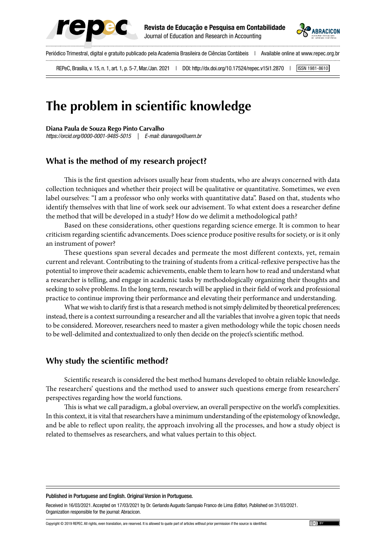



Periódico Trimestral, digital e gratuito publicado pela Academia Brasileira de Ciências Contábeis | Available online at www.repec.org.br REPeC, Brasília, v. 15, n. 1, art. 1, p. 5-7, Mar./Jan. 2021 | DOI: http://dx.doi.org/10.17524/repec.v15i1.2870 | SSN 1981-8610

# **The problem in scientific knowledge**

**Diana Paula de Souza Rego Pinto Carvalho**

*https://orcid.org/0000-0001-9485-5015 | E-mail: dianarego@uern.br*

## **What is the method of my research project?**

This is the first question advisors usually hear from students, who are always concerned with data collection techniques and whether their project will be qualitative or quantitative. Sometimes, we even label ourselves: "I am a professor who only works with quantitative data". Based on that, students who identify themselves with that line of work seek our advisement. To what extent does a researcher define the method that will be developed in a study? How do we delimit a methodological path?

Based on these considerations, other questions regarding science emerge. It is common to hear criticism regarding scientific advancements. Does science produce positive results for society, or is it only an instrument of power?

These questions span several decades and permeate the most different contexts, yet, remain current and relevant. Contributing to the training of students from a critical-reflexive perspective has the potential to improve their academic achievements, enable them to learn how to read and understand what a researcher is telling, and engage in academic tasks by methodologically organizing their thoughts and seeking to solve problems. In the long term, research will be applied in their field of work and professional practice to continue improving their performance and elevating their performance and understanding.

What we wish to clarify first is that a research method is not simply delimited by theoretical preferences; instead, there is a context surrounding a researcher and all the variables that involve a given topic that needs to be considered. Moreover, researchers need to master a given methodology while the topic chosen needs to be well-delimited and contextualized to only then decide on the project's scientific method.

### **Why study the scientific method?**

Scientific research is considered the best method humans developed to obtain reliable knowledge. The researchers' questions and the method used to answer such questions emerge from researchers' perspectives regarding how the world functions.

This is what we call paradigm, a global overview, an overall perspective on the world's complexities. In this context, it is vital that researchers have a minimum understanding of the epistemology of knowledge, and be able to reflect upon reality, the approach involving all the processes, and how a study object is related to themselves as researchers, and what values pertain to this object.

#### Published in Portuguese and English. Original Version in Portuguese.

Received in 16/03/2021. Accepted on 17/03/2021 by Dr. Gerlando Augusto Sampaio Franco de Lima (Editor). Published on 31/03/2021. Organization responsible for the journal: Abracicon.

Copyright © 2019 REPEC. All rights, even translation, are reserved. It is allowed to quote part of articles without prior permission if the source is identified.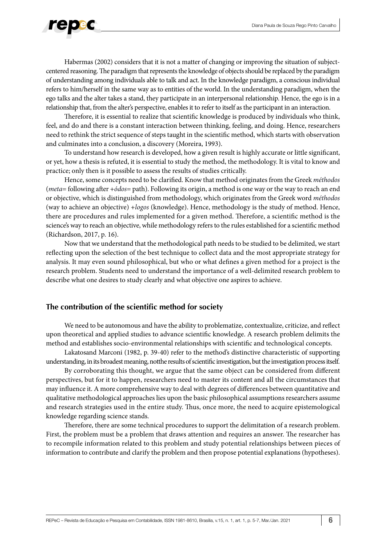

Habermas (2002) considers that it is not a matter of changing or improving the situation of subjectcentered reasoning. The paradigm that represents the knowledge of objects should be replaced by the paradigm of understanding among individuals able to talk and act. In the knowledge paradigm, a conscious individual refers to him/herself in the same way as to entities of the world. In the understanding paradigm, when the ego talks and the alter takes a stand, they participate in an interpersonal relationship. Hence, the ego is in a relationship that, from the alter's perspective, enables it to refer to itself as the participant in an interaction.

Therefore, it is essential to realize that scientific knowledge is produced by individuals who think, feel, and do and there is a constant interaction between thinking, feeling, and doing. Hence, researchers need to rethink the strict sequence of steps taught in the scientific method, which starts with observation and culminates into a conclusion, a discovery (Moreira, 1993).

To understand how research is developed, how a given result is highly accurate or little significant, or yet, how a thesis is refuted, it is essential to study the method, the methodology. It is vital to know and practice; only then is it possible to assess the results of studies critically.

Hence, some concepts need to be clarified. Know that method originates from the Greek *méthodos*  (*meta*= following after +*ódos*= path). Following its origin, a method is one way or the way to reach an end or objective, which is distinguished from methodology, which originates from the Greek word *méthodos*  (way to achieve an objective) +*logos* (knowledge). Hence, methodology is the study of method. Hence, there are procedures and rules implemented for a given method. Therefore, a scientific method is the science's way to reach an objective, while methodology refers to the rules established for a scientific method (Richardson, 2017, p. 16).

Now that we understand that the methodological path needs to be studied to be delimited, we start reflecting upon the selection of the best technique to collect data and the most appropriate strategy for analysis. It may even sound philosophical, but who or what defines a given method for a project is the research problem. Students need to understand the importance of a well-delimited research problem to describe what one desires to study clearly and what objective one aspires to achieve.

### **The contribution of the scientific method for society**

We need to be autonomous and have the ability to problematize, contextualize, criticize, and reflect upon theoretical and applied studies to advance scientific knowledge. A research problem delimits the method and establishes socio-environmental relationships with scientific and technological concepts.

Lakatosand Marconi (1982, p. 39-40) refer to the method's distinctive characteristic of supporting understanding, in its broadest meaning, notthe results of scientific investigation, but the investigation process itself.

By corroborating this thought, we argue that the same object can be considered from different perspectives, but for it to happen, researchers need to master its content and all the circumstances that may influence it. A more comprehensive way to deal with degrees of differences between quantitative and qualitative methodological approaches lies upon the basic philosophical assumptions researchers assume and research strategies used in the entire study. Thus, once more, the need to acquire epistemological knowledge regarding science stands.

Therefore, there are some technical procedures to support the delimitation of a research problem. First, the problem must be a problem that draws attention and requires an answer. The researcher has to recompile information related to this problem and study potential relationships between pieces of information to contribute and clarify the problem and then propose potential explanations (hypotheses).